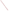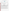## **THE ENVIRONMENTAL TECHNOLOGY VERIFICATION**







# **ETV Joint Verification Statement**

|                                     | TECHNOLOGY TYPE: CONTINUOUS EMISSION MONITOR                                                            |  |  |
|-------------------------------------|---------------------------------------------------------------------------------------------------------|--|--|
| <b>APPLICATION:</b>                 | <b>MEASURING MERCURY EMISSIONS</b>                                                                      |  |  |
| <b>TECHNOLOGY NAME: DM-6D/DM-6P</b> |                                                                                                         |  |  |
| <b>COMPANY:</b>                     | <b>Nippon Instruments Corp.</b>                                                                         |  |  |
| <b>ADDRESS:</b>                     | 14-8, Akaoji, Takatsuki-shi, PHONE: +81-726-94-5195<br>$+81-726-94-0663$<br>Osaka, 569-1146, Japan FAX: |  |  |
| <b>WEB SITE:</b>                    | http://www.smglink.com/nic/                                                                             |  |  |
| $E\text{-}{M}\text{A}IL:$           | nic@rigaku.co.jp                                                                                        |  |  |

The U.S. Environmental Protection Agency (EPA) supports the Environmental Technology Verification (ETV) Program to facilitate the deployment of innovative or improved environmental technologies through performance verification and dissemination of information. The goal of the ETV Program is to further environmental protection by accelerating the acceptance and use of improved and cost-effective technologies. ETV seeks to achieve this goal by providing high-quality, peer-reviewed data on technology performance to those involved in the design, distribution, financing, permitting, purchase, and use of environmental technologies.

ETV works in partnership with recognized standards and testing organizations, with stakeholder groups (consisting of buyers, vendor organizations, and permitters), and with individual technology developers. The program evaluates the performance of innovative technologies by developing test plans that are responsive to the needs of stakeholders, conducting field or laboratory tests (as appropriate), collecting and analyzing data, and preparing peer-reviewed reports. All evaluations are conducted in accordance with rigorous quality assurance (QA) protocols to ensure that data of known and adequate quality are generated and that the results are defensible.

The Advanced Monitoring Systems (AMS) Center, one of seven technology areas under ETV, is operated by Battelle in cooperation with EPA's National Exposure Research Laboratory. The AMS Center has recently evaluated the performance of continuous emission monitors (CEMs) to measure mercury emissions. This verification statement provides a summary of the test results for the Nippon Instruments Corp. DM-6D/DM-6P CEM.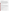### **VERIFICATION TEST DESCRIPTION**

The purpose of this verification test was to evaluate the performance of mercury CEMs at a full-scale field location, over a substantial duration of continuous operation. The CEMs were challenged by stack gases generated from the thermal treatment of a variety of actual wastes in the Toxic Substances Control Act Incinerator (TSCAI) at the East Tennessee Technology Park in Oak Ridge, Tennessee. CEM responses were compared with reference mercury measurements of total  $(Hg_T)$ , oxidized  $(Hg_{OX})$ , and elemental  $(Hg^{\circ})$  mercury. Mercury standard gases were used to challenge the CEMs to assess stability in long-term operation, and the instruments were operated for several weeks by TSCAI staff to assess operational aspects of their use. The reference method for establishing the quantitative performance of the tested technologies was the Ontario Hydro (OH) method. For the DM-6/DM-6P, relative accuracy (RA), correlation with the reference method, and precision (i.e., repeatability at stable test conditions) were assessed for total mercury in the stack gas emissions. Sampling system bias, calibration and zero drift, and response time were assessed for Hg<sup>o</sup> only, using commercial compressed gas standards of Hg°. The data completeness, reliability, and maintainability of the DM-6D/DM-6P over the course of the verification test were assessed during several weeks of continuous operation.

QA oversight of verification testing was provided by Battelle. Battelle QA staff conducted a technical systems audit, a performance evaluation audit, and a data quality audit of 10% of the test data.

#### **TECHNOLOGY DESCRIPTION**

The following description of the DM-6D/DM-6P was provided by the vendor and does not represent verified information.

The DM-6/DM-6P mercury CEM is designed to provide continuous measurement of  $Hg_T$  in stack gases. Stack gas is pulled from the stack through a glass-lined probe maintained at 180°C (356°F) and a glass fiber particulate filter maintained at 200 $\rm{°C}$  (392 $\rm{°F}$ ). The sample then passes through a catalyst bed that is heated to 160 $\rm{°C}$ (320°F). The catalytic process, housed in a heater box that may be located either adjacent to the stack or remotely, reduces  $Hg_{OX}$  to  $Hg^0$ . After exiting the catalyst, the sample passes through a liquid/gas separator and is cooled to 2°C by a solid-state Peltier chip. The cooled sample gas is then filtered once again by a membrane filter before being transported to the detector. The detector is a cold vapor atomic absorption analyzer that reports total mercury.

The detector is factory calibrated, although an on-board permeation tube calibration source is available as an option for field calibration. The detector signal is zeroed automatically by first passing a zero gas over a gold trap to collect and remove contaminants. The zero gas is then introduced directly into the DM-6/DM-6P. The DM-6/DM-6P response to the zero gas is automatically adjusted to zero by the system. The DM-6/DM-6P does not require argon, compressed air, or other gas supplies for operation.

### **VERIFICATION OF PERFORMANCE**

**Relative Accuracy:** The accuracy of the DM-6/DM-6P for measuring  $Hg_T$  was verified by comparison to the results of 18 sampling runs using dual trains of the OH reference method at  $Hg_T$  levels from <1 to 200 micrograms per dry standard cubic meter of flue gas. When all 18 OH runs were included in the comparison, an overall RA of 20.3% was found.

**Correlation with Reference Method Results:** Correlation of the DM-6/DM-6P Hg<sub>T</sub> results with the OH results showed an  $r^2$  value of 0.953.

Precision: Precision of the DM-6/DM-6P was estimated using two OH sampling periods having relatively stable introduction of mercury in aqueous waste into the TSCAI. The maximum variability attributable to the DM-6/DM-6P was 9.1% and 10.9% relative standard deviation (RSD) for these two periods.